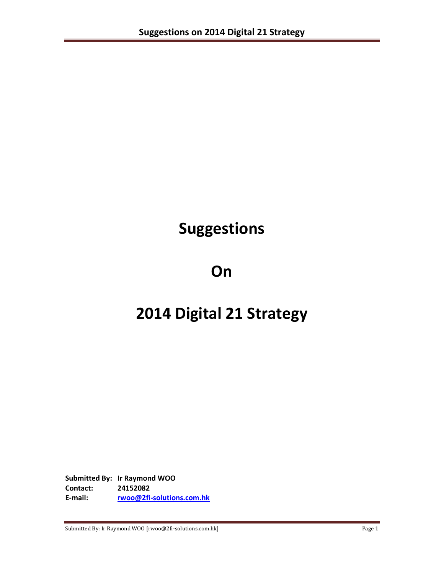# **Suggestions**

# **On**

# **2014 Digital 21 Strategy**

**Submitted By: Ir Raymond WOO Contact: 24152082 E-mail: [rwoo@2fi-solutions.com.hk](mailto:rwoo@2fi-solutions.com.hk)**

Submitted By: Ir Raymond WOO [rwoo@2fi-solutions.com.hk] Page 1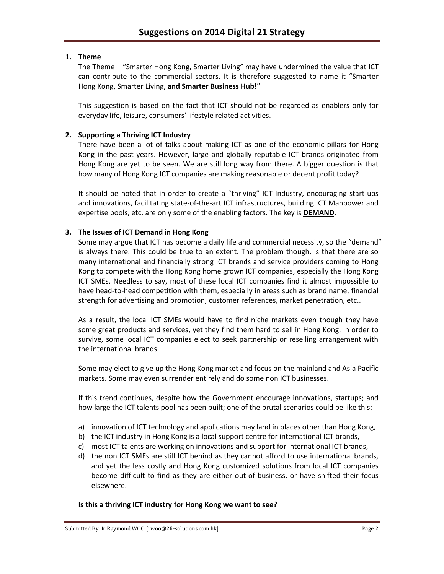## **1. Theme**

The Theme – "Smarter Hong Kong, Smarter Living" may have undermined the value that ICT can contribute to the commercial sectors. It is therefore suggested to name it "Smarter Hong Kong, Smarter Living, **and Smarter Business Hub!**"

This suggestion is based on the fact that ICT should not be regarded as enablers only for everyday life, leisure, consumers' lifestyle related activities.

## **2. Supporting a Thriving ICT Industry**

There have been a lot of talks about making ICT as one of the economic pillars for Hong Kong in the past years. However, large and globally reputable ICT brands originated from Hong Kong are yet to be seen. We are still long way from there. A bigger question is that how many of Hong Kong ICT companies are making reasonable or decent profit today?

It should be noted that in order to create a "thriving" ICT Industry, encouraging start-ups and innovations, facilitating state-of-the-art ICT infrastructures, building ICT Manpower and expertise pools, etc. are only some of the enabling factors. The key is **DEMAND**.

#### **3. The Issues of ICT Demand in Hong Kong**

Some may argue that ICT has become a daily life and commercial necessity, so the "demand" is always there. This could be true to an extent. The problem though, is that there are so many international and financially strong ICT brands and service providers coming to Hong Kong to compete with the Hong Kong home grown ICT companies, especially the Hong Kong ICT SMEs. Needless to say, most of these local ICT companies find it almost impossible to have head-to-head competition with them, especially in areas such as brand name, financial strength for advertising and promotion, customer references, market penetration, etc..

As a result, the local ICT SMEs would have to find niche markets even though they have some great products and services, yet they find them hard to sell in Hong Kong. In order to survive, some local ICT companies elect to seek partnership or reselling arrangement with the international brands.

Some may elect to give up the Hong Kong market and focus on the mainland and Asia Pacific markets. Some may even surrender entirely and do some non ICT businesses.

If this trend continues, despite how the Government encourage innovations, startups; and how large the ICT talents pool has been built; one of the brutal scenarios could be like this:

- a) innovation of ICT technology and applications may land in places other than Hong Kong,
- b) the ICT industry in Hong Kong is a local support centre for international ICT brands,
- c) most ICT talents are working on innovations and support for international ICT brands,
- d) the non ICT SMEs are still ICT behind as they cannot afford to use international brands, and yet the less costly and Hong Kong customized solutions from local ICT companies become difficult to find as they are either out-of-business, or have shifted their focus elsewhere.

#### **Is this a thriving ICT industry for Hong Kong we want to see?**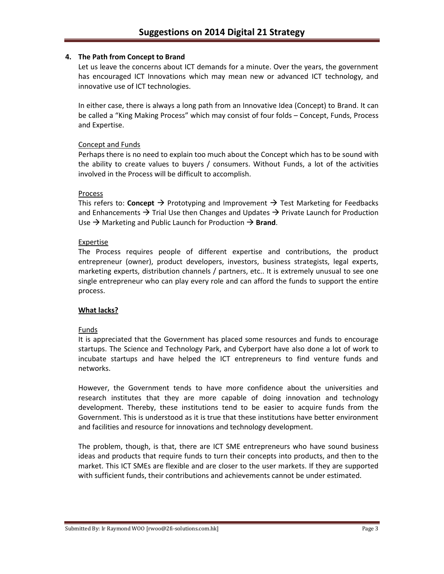## **4. The Path from Concept to Brand**

Let us leave the concerns about ICT demands for a minute. Over the years, the government has encouraged ICT Innovations which may mean new or advanced ICT technology, and innovative use of ICT technologies.

In either case, there is always a long path from an Innovative Idea (Concept) to Brand. It can be called a "King Making Process" which may consist of four folds – Concept, Funds, Process and Expertise.

## Concept and Funds

Perhaps there is no need to explain too much about the Concept which has to be sound with the ability to create values to buyers / consumers. Without Funds, a lot of the activities involved in the Process will be difficult to accomplish.

## Process

This refers to: **Concept**  $\rightarrow$  Prototyping and Improvement  $\rightarrow$  Test Marketing for Feedbacks and Enhancements  $\rightarrow$  Trial Use then Changes and Updates  $\rightarrow$  Private Launch for Production Use  $\rightarrow$  Marketing and Public Launch for Production  $\rightarrow$  **Brand**.

## Expertise

The Process requires people of different expertise and contributions, the product entrepreneur (owner), product developers, investors, business strategists, legal experts, marketing experts, distribution channels / partners, etc.. It is extremely unusual to see one single entrepreneur who can play every role and can afford the funds to support the entire process.

## **What lacks?**

## Funds

It is appreciated that the Government has placed some resources and funds to encourage startups. The Science and Technology Park, and Cyberport have also done a lot of work to incubate startups and have helped the ICT entrepreneurs to find venture funds and networks.

However, the Government tends to have more confidence about the universities and research institutes that they are more capable of doing innovation and technology development. Thereby, these institutions tend to be easier to acquire funds from the Government. This is understood as it is true that these institutions have better environment and facilities and resource for innovations and technology development.

The problem, though, is that, there are ICT SME entrepreneurs who have sound business ideas and products that require funds to turn their concepts into products, and then to the market. This ICT SMEs are flexible and are closer to the user markets. If they are supported with sufficient funds, their contributions and achievements cannot be under estimated.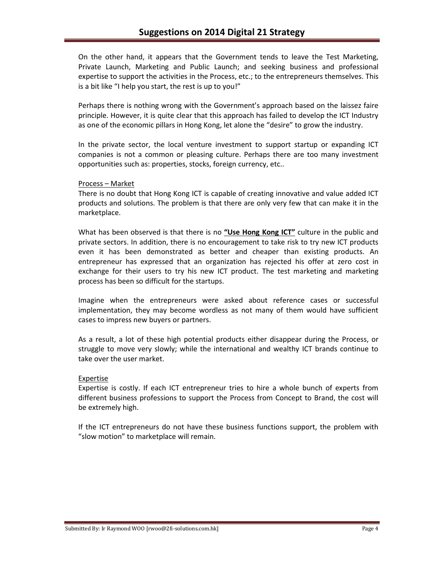On the other hand, it appears that the Government tends to leave the Test Marketing, Private Launch, Marketing and Public Launch; and seeking business and professional expertise to support the activities in the Process, etc.; to the entrepreneurs themselves. This is a bit like "I help you start, the rest is up to you!"

Perhaps there is nothing wrong with the Government's approach based on the laissez faire principle. However, it is quite clear that this approach has failed to develop the ICT Industry as one of the economic pillars in Hong Kong, let alone the "desire" to grow the industry.

In the private sector, the local venture investment to support startup or expanding ICT companies is not a common or pleasing culture. Perhaps there are too many investment opportunities such as: properties, stocks, foreign currency, etc..

#### Process – Market

There is no doubt that Hong Kong ICT is capable of creating innovative and value added ICT products and solutions. The problem is that there are only very few that can make it in the marketplace.

What has been observed is that there is no **"Use Hong Kong ICT"** culture in the public and private sectors. In addition, there is no encouragement to take risk to try new ICT products even it has been demonstrated as better and cheaper than existing products. An entrepreneur has expressed that an organization has rejected his offer at zero cost in exchange for their users to try his new ICT product. The test marketing and marketing process has been so difficult for the startups.

Imagine when the entrepreneurs were asked about reference cases or successful implementation, they may become wordless as not many of them would have sufficient cases to impress new buyers or partners.

As a result, a lot of these high potential products either disappear during the Process, or struggle to move very slowly; while the international and wealthy ICT brands continue to take over the user market.

#### Expertise

Expertise is costly. If each ICT entrepreneur tries to hire a whole bunch of experts from different business professions to support the Process from Concept to Brand, the cost will be extremely high.

If the ICT entrepreneurs do not have these business functions support, the problem with "slow motion" to marketplace will remain.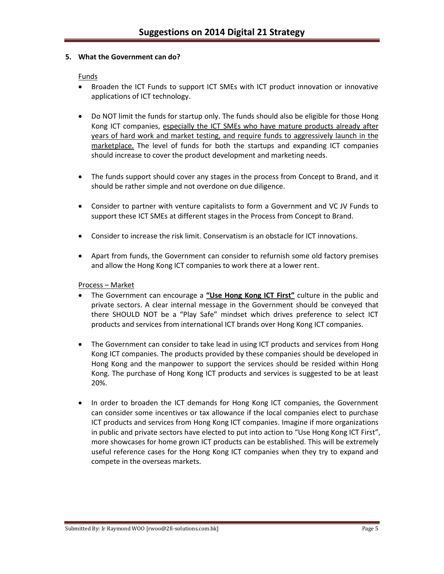#### **5. What the Government can do?**

#### Funds

- Broaden the ICT Funds to support ICT SMEs with ICT product innovation or innovative applications of ICT technology.
- Do NOT limit the funds for startup only. The funds should also be eligible for those Hong Kong ICT companies, especially the ICT SMEs who have mature products already after years of hard work and market testing, and require funds to aggressively launch in the marketplace. The level of funds for both the startups and expanding ICT companies should increase to cover the product development and marketing needs.
- The funds support should cover any stages in the process from Concept to Brand, and it should be rather simple and not overdone on due diligence.
- Consider to partner with venture capitalists to form a Government and VC JV Funds to support these ICT SMEs at different stages in the Process from Concept to Brand.
- Consider to increase the risk limit. Conservatism is an obstacle for ICT innovations.
- Apart from funds, the Government can consider to refurnish some old factory premises and allow the Hong Kong ICT companies to work there at a lower rent.

#### Process – Market

- The Government can encourage a **"Use Hong Kong ICT First"** culture in the public and private sectors. A clear internal message in the Government should be conveyed that there SHOULD NOT be a "Play Safe" mindset which drives preference to select ICT products and services from international ICT brands over Hong Kong ICT companies.
- The Government can consider to take lead in using ICT products and services from Hong Kong ICT companies. The products provided by these companies should be developed in Hong Kong and the manpower to support the services should be resided within Hong Kong. The purchase of Hong Kong ICT products and services is suggested to be at least 20%.
- In order to broaden the ICT demands for Hong Kong ICT companies, the Government can consider some incentives or tax allowance if the local companies elect to purchase ICT products and services from Hong Kong ICT companies. Imagine if more organizations in public and private sectors have elected to put into action to "Use Hong Kong ICT First", more showcases for home grown ICT products can be established. This will be extremely useful reference cases for the Hong Kong ICT companies when they try to expand and compete in the overseas markets.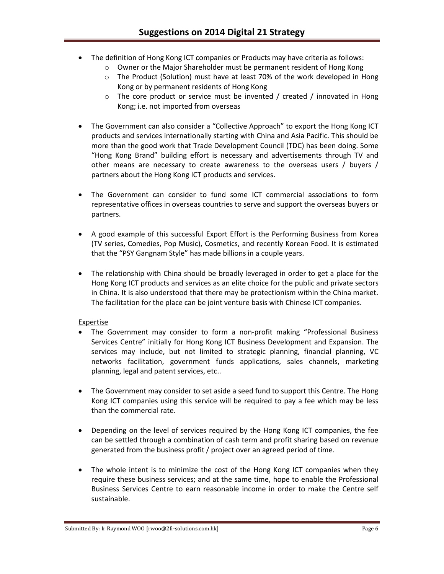- The definition of Hong Kong ICT companies or Products may have criteria as follows:
	- o Owner or the Major Shareholder must be permanent resident of Hong Kong
	- o The Product (Solution) must have at least 70% of the work developed in Hong Kong or by permanent residents of Hong Kong
	- $\circ$  The core product or service must be invented / created / innovated in Hong Kong; i.e. not imported from overseas
- The Government can also consider a "Collective Approach" to export the Hong Kong ICT products and services internationally starting with China and Asia Pacific. This should be more than the good work that Trade Development Council (TDC) has been doing. Some "Hong Kong Brand" building effort is necessary and advertisements through TV and other means are necessary to create awareness to the overseas users / buyers / partners about the Hong Kong ICT products and services.
- The Government can consider to fund some ICT commercial associations to form representative offices in overseas countries to serve and support the overseas buyers or partners.
- A good example of this successful Export Effort is the Performing Business from Korea (TV series, Comedies, Pop Music), Cosmetics, and recently Korean Food. It is estimated that the "PSY Gangnam Style" has made billions in a couple years.
- The relationship with China should be broadly leveraged in order to get a place for the Hong Kong ICT products and services as an elite choice for the public and private sectors in China. It is also understood that there may be protectionism within the China market. The facilitation for the place can be joint venture basis with Chinese ICT companies.

## Expertise

- The Government may consider to form a non-profit making "Professional Business Services Centre" initially for Hong Kong ICT Business Development and Expansion. The services may include, but not limited to strategic planning, financial planning, VC networks facilitation, government funds applications, sales channels, marketing planning, legal and patent services, etc..
- The Government may consider to set aside a seed fund to support this Centre. The Hong Kong ICT companies using this service will be required to pay a fee which may be less than the commercial rate.
- Depending on the level of services required by the Hong Kong ICT companies, the fee can be settled through a combination of cash term and profit sharing based on revenue generated from the business profit / project over an agreed period of time.
- The whole intent is to minimize the cost of the Hong Kong ICT companies when they require these business services; and at the same time, hope to enable the Professional Business Services Centre to earn reasonable income in order to make the Centre self sustainable.